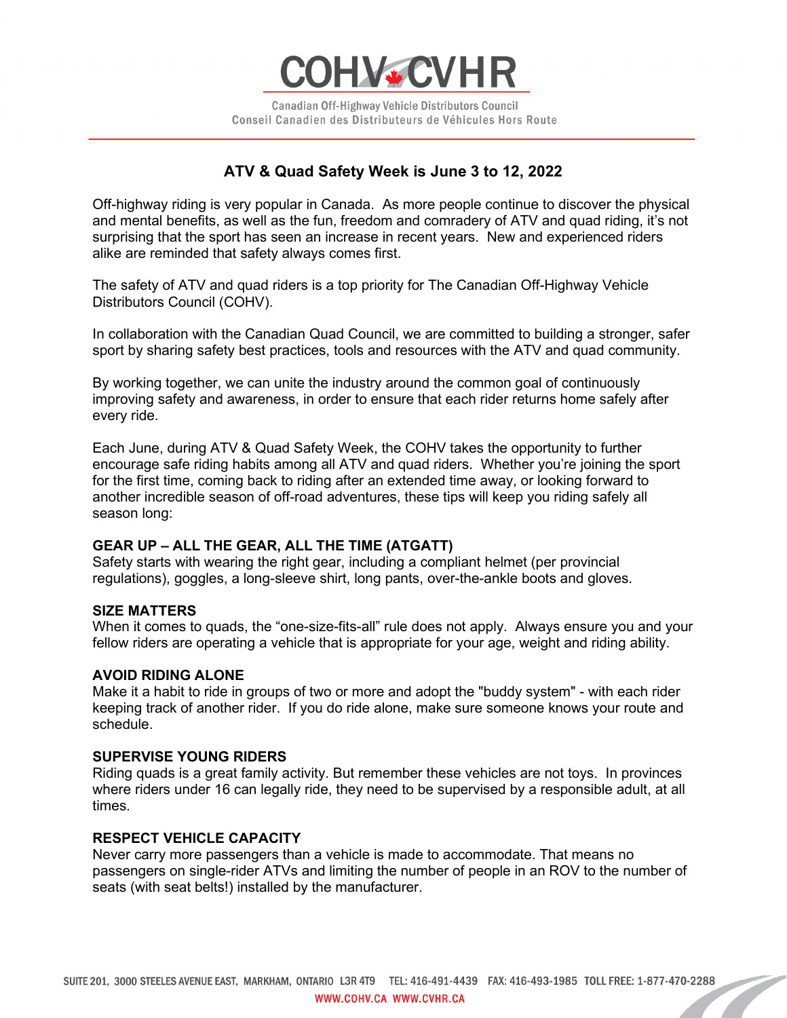

Canadian Off-Highway Vehicle Distributors Council Conseil Canadien des Distributeurs de Véhicules Hors Route

# **ATV & Quad Safety Week is June 3 to 12, 2022**

Off-highway riding is very popular in Canada. As more people continue to discover the physical and mental benefits, as well as the fun, freedom and comradery of ATV and quad riding, it's not surprising that the sport has seen an increase in recent years. New and experienced riders alike are reminded that safety always comes first.

The safety of ATV and quad riders is a top priority for The Canadian Off-Highway Vehicle Distributors Council (COHV).

In collaboration with the Canadian Quad Council, we are committed to building a stronger, safer sport by sharing safety best practices, tools and resources with the ATV and quad community.

By working together, we can unite the industry around the common goal of continuously improving safety and awareness, in order to ensure that each rider returns home safely after every ride.

Each June, during ATV & Quad Safety Week, the COHV takes the opportunity to further encourage safe riding habits among all ATV and quad riders. Whether you're joining the sport for the first time, coming back to riding after an extended time away, or looking forward to another incredible season of off-road adventures, these tips will keep you riding safely all season long:

## **GEAR UP – ALL THE GEAR, ALL THE TIME (ATGATT)**

Safety starts with wearing the right gear, including a compliant helmet (per provincial regulations), goggles, a long-sleeve shirt, long pants, over-the-ankle boots and gloves.

#### **SIZE MATTERS**

When it comes to quads, the "one-size-fits-all" rule does not apply. Always ensure you and your fellow riders are operating a vehicle that is appropriate for your age, weight and riding ability.

#### **AVOID RIDING ALONE**

Make it a habit to ride in groups of two or more and adopt the "buddy system" - with each rider keeping track of another rider. If you do ride alone, make sure someone knows your route and schedule.

## **SUPERVISE YOUNG RIDERS**

Riding quads is a great family activity. But remember these vehicles are not toys. In provinces where riders under 16 can legally ride, they need to be supervised by a responsible adult, at all times.

#### **RESPECT VEHICLE CAPACITY**

Never carry more passengers than a vehicle is made to accommodate. That means no passengers on single-rider ATVs and limiting the number of people in an ROV to the number of seats (with seat belts!) installed by the manufacturer.